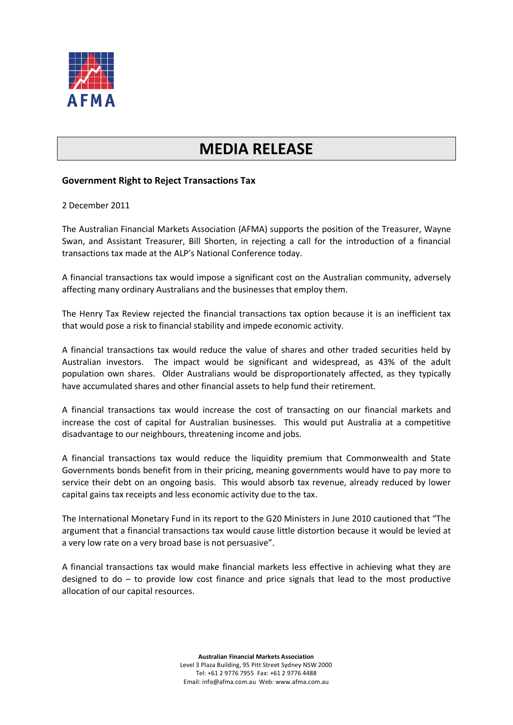

## **MEDIA RELEASE**

## **Government Right to Reject Transactions Tax**

2 December 2011

The Australian Financial Markets Association (AFMA) supports the position of the Treasurer, Wayne Swan, and Assistant Treasurer, Bill Shorten, in rejecting a call for the introduction of a financial transactions tax made at the ALP's National Conference today.

A financial transactions tax would impose a significant cost on the Australian community, adversely affecting many ordinary Australians and the businesses that employ them.

The Henry Tax Review rejected the financial transactions tax option because it is an inefficient tax that would pose a risk to financial stability and impede economic activity.

A financial transactions tax would reduce the value of shares and other traded securities held by Australian investors. The impact would be significant and widespread, as 43% of the adult population own shares. Older Australians would be disproportionately affected, as they typically have accumulated shares and other financial assets to help fund their retirement.

A financial transactions tax would increase the cost of transacting on our financial markets and increase the cost of capital for Australian businesses. This would put Australia at a competitive disadvantage to our neighbours, threatening income and jobs.

A financial transactions tax would reduce the liquidity premium that Commonwealth and State Governments bonds benefit from in their pricing, meaning governments would have to pay more to service their debt on an ongoing basis. This would absorb tax revenue, already reduced by lower capital gains tax receipts and less economic activity due to the tax.

The International Monetary Fund in its report to the G20 Ministers in June 2010 cautioned that "The argument that a financial transactions tax would cause little distortion because it would be levied at a very low rate on a very broad base is not persuasive".

A financial transactions tax would make financial markets less effective in achieving what they are designed to do – to provide low cost finance and price signals that lead to the most productive allocation of our capital resources.

> **Australian Financial Markets Association** Level 3 Plaza Building, 95 Pitt Street Sydney NSW 2000 Tel: +61 2 9776 7955 Fax: +61 2 9776 4488 Email: info@afma.com.au Web: www.afma.com.au